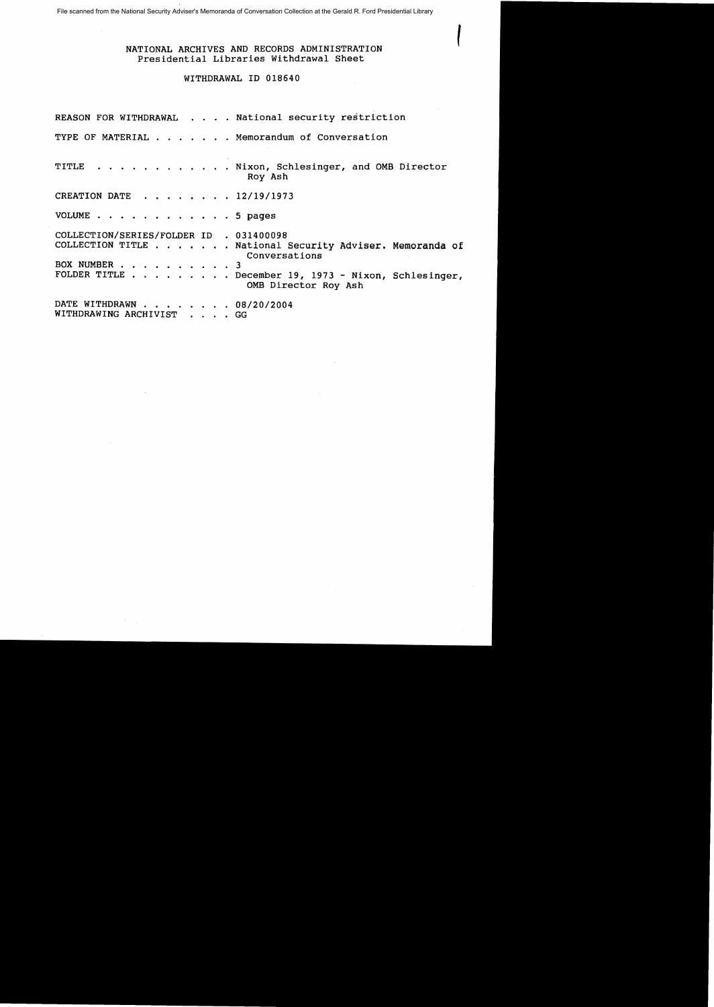File scanned from the National Security Adviser's Memoranda of Conversation Collection at the Gerald R. Ford Presidential Library

## ( NATIONAL ARCHIVES AND RECORDS ADMINISTRATION Presidential Libraries Withdrawal Sheet

 $\mathcal{L}$ 

## WITHDRAWAL ID 018640

|                                                         | REASON FOR WITHDRAWAL National security restriction                                                                                                       |
|---------------------------------------------------------|-----------------------------------------------------------------------------------------------------------------------------------------------------------|
|                                                         | TYPE OF MATERIAL Memorandum of Conversation                                                                                                               |
|                                                         | TITLE Nixon, Schlesinger, and OMB Director<br>Roy Ash                                                                                                     |
| CREATION DATE 12/19/1973                                |                                                                                                                                                           |
| VOLUME 5 pages                                          |                                                                                                                                                           |
| COLLECTION/SERIES/FOLDER ID . 031400098<br>BOX NUMBER 3 | COLLECTION TITLE National Security Adviser. Memoranda of<br>Conversations<br>FOLDER TITLE December 19, 1973 - Nixon, Schlesinger,<br>OMB Director Roy Ash |
| DATE WITHDRAWN 08/20/2004<br>WITHDRAWING ARCHIVIST GG   |                                                                                                                                                           |